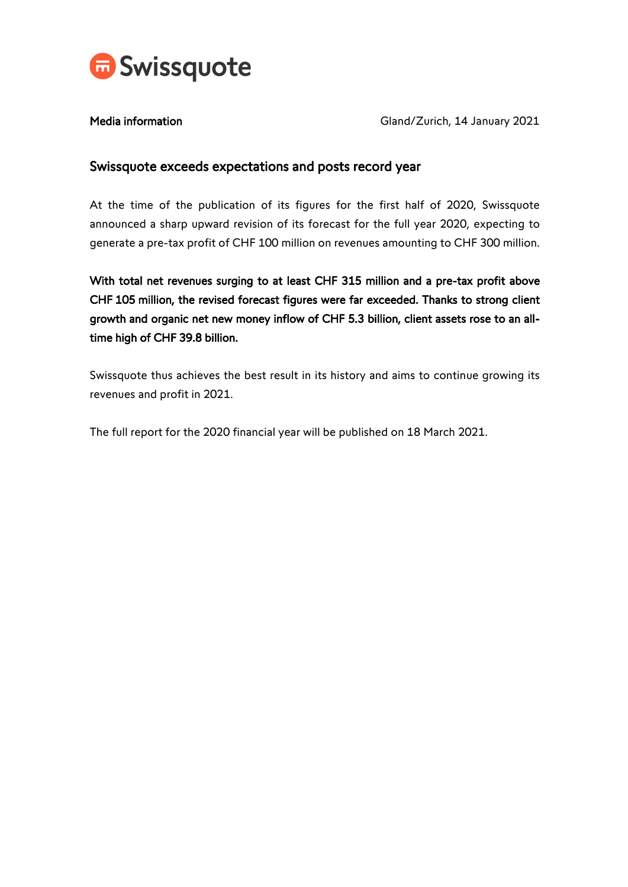

Media information Media information Cland/Zurich, 14 January 2021

# Swissquote exceeds expectations and posts record year

At the time of the publication of its figures for the first half of 2020, Swissquote announced a sharp upward revision of its forecast for the full year 2020, expecting to generate a pre-tax profit of CHF 100 million on revenues amounting to CHF 300 million.

With total net revenues surging to at least CHF 315 million and a pre-tax profit above CHF 105 million, the revised forecast figures were far exceeded. Thanks to strong client growth and organic net new money inflow of CHF 5.3 billion, client assets rose to an alltime high of CHF 39.8 billion.

Swissquote thus achieves the best result in its history and aims to continue growing its revenues and profit in 2021.

The full report for the 2020 financial year will be published on 18 March 2021.